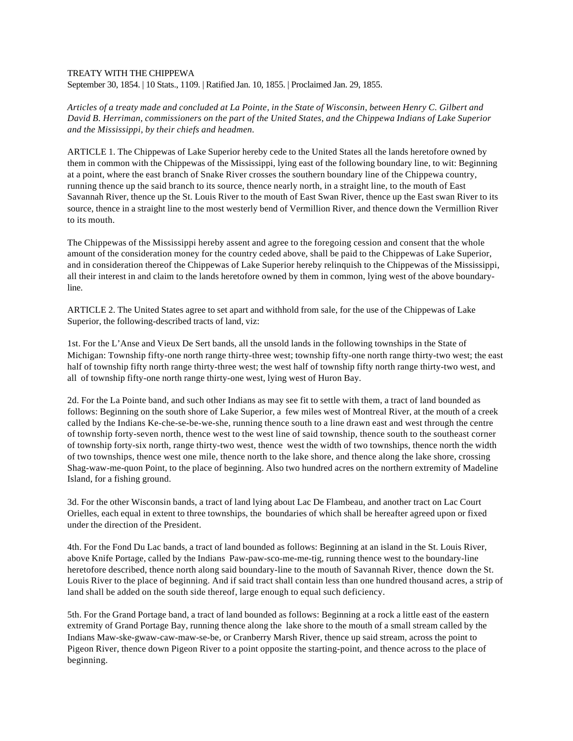## TREATY WITH THE CHIPPEWA

September 30, 1854. | 10 Stats., 1109. | Ratified Jan. 10, 1855. | Proclaimed Jan. 29, 1855.

## *Articles of a treaty made and concluded at La Pointe, in the State of Wisconsin, between Henry C. Gilbert and David B. Herriman, commissioners on the part of the United States, and the Chippewa Indians of Lake Superior and the Mississippi, by their chiefs and headmen.*

ARTICLE 1. The Chippewas of Lake Superior hereby cede to the United States all the lands heretofore owned by them in common with the Chippewas of the Mississippi, lying east of the following boundary line, to wit: Beginning at a point, where the east branch of Snake River crosses the southern boundary line of the Chippewa country, running thence up the said branch to its source, thence nearly north, in a straight line, to the mouth of East Savannah River, thence up the St. Louis River to the mouth of East Swan River, thence up the East swan River to its source, thence in a straight line to the most westerly bend of Vermillion River, and thence down the Vermillion River to its mouth.

The Chippewas of the Mississippi hereby assent and agree to the foregoing cession and consent that the whole amount of the consideration money for the country ceded above, shall be paid to the Chippewas of Lake Superior, and in consideration thereof the Chippewas of Lake Superior hereby relinquish to the Chippewas of the Mississippi, all their interest in and claim to the lands heretofore owned by them in common, lying west of the above boundaryline.

ARTICLE 2. The United States agree to set apart and withhold from sale, for the use of the Chippewas of Lake Superior, the following-described tracts of land, viz:

1st. For the L'Anse and Vieux De Sert bands, all the unsold lands in the following townships in the State of Michigan: Township fifty-one north range thirty-three west; township fifty-one north range thirty-two west; the east half of township fifty north range thirty-three west; the west half of township fifty north range thirty-two west, and all of township fifty-one north range thirty-one west, lying west of Huron Bay.

2d. For the La Pointe band, and such other Indians as may see fit to settle with them, a tract of land bounded as follows: Beginning on the south shore of Lake Superior, a few miles west of Montreal River, at the mouth of a creek called by the Indians Ke-che-se-be-we-she, running thence south to a line drawn east and west through the centre of township forty-seven north, thence west to the west line of said township, thence south to the southeast corner of township forty-six north, range thirty-two west, thence west the width of two townships, thence north the width of two townships, thence west one mile, thence north to the lake shore, and thence along the lake shore, crossing Shag-waw-me-quon Point, to the place of beginning. Also two hundred acres on the northern extremity of Madeline Island, for a fishing ground.

3d. For the other Wisconsin bands, a tract of land lying about Lac De Flambeau, and another tract on Lac Court Orielles, each equal in extent to three townships, the boundaries of which shall be hereafter agreed upon or fixed under the direction of the President.

4th. For the Fond Du Lac bands, a tract of land bounded as follows: Beginning at an island in the St. Louis River, above Knife Portage, called by the Indians Paw-paw-sco-me-me-tig, running thence west to the boundary-line heretofore described, thence north along said boundary-line to the mouth of Savannah River, thence down the St. Louis River to the place of beginning. And if said tract shall contain less than one hundred thousand acres, a strip of land shall be added on the south side thereof, large enough to equal such deficiency.

5th. For the Grand Portage band, a tract of land bounded as follows: Beginning at a rock a little east of the eastern extremity of Grand Portage Bay, running thence along the lake shore to the mouth of a small stream called by the Indians Maw-ske-gwaw-caw-maw-se-be, or Cranberry Marsh River, thence up said stream, across the point to Pigeon River, thence down Pigeon River to a point opposite the starting-point, and thence across to the place of beginning.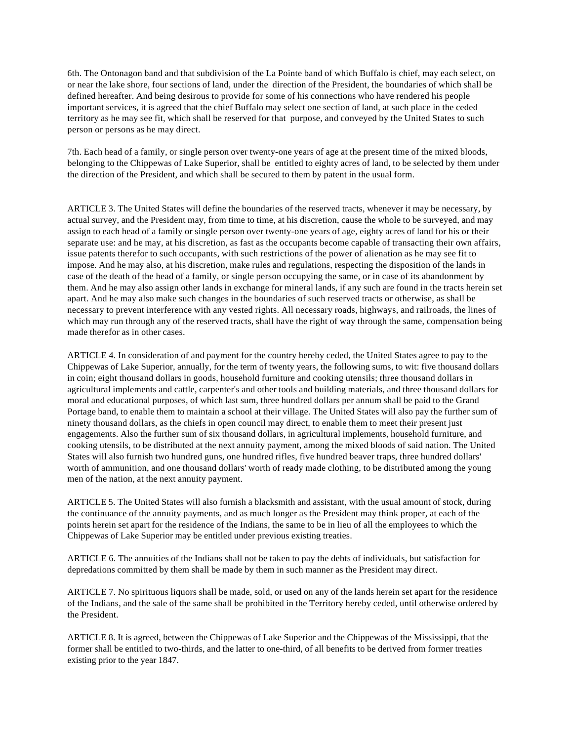6th. The Ontonagon band and that subdivision of the La Pointe band of which Buffalo is chief, may each select, on or near the lake shore, four sections of land, under the direction of the President, the boundaries of which shall be defined hereafter. And being desirous to provide for some of his connections who have rendered his people important services, it is agreed that the chief Buffalo may select one section of land, at such place in the ceded territory as he may see fit, which shall be reserved for that purpose, and conveyed by the United States to such person or persons as he may direct.

7th. Each head of a family, or single person over twenty-one years of age at the present time of the mixed bloods, belonging to the Chippewas of Lake Superior, shall be entitled to eighty acres of land, to be selected by them under the direction of the President, and which shall be secured to them by patent in the usual form.

ARTICLE 3. The United States will define the boundaries of the reserved tracts, whenever it may be necessary, by actual survey, and the President may, from time to time, at his discretion, cause the whole to be surveyed, and may assign to each head of a family or single person over twenty-one years of age, eighty acres of land for his or their separate use: and he may, at his discretion, as fast as the occupants become capable of transacting their own affairs, issue patents therefor to such occupants, with such restrictions of the power of alienation as he may see fit to impose. And he may also, at his discretion, make rules and regulations, respecting the disposition of the lands in case of the death of the head of a family, or single person occupying the same, or in case of its abandonment by them. And he may also assign other lands in exchange for mineral lands, if any such are found in the tracts herein set apart. And he may also make such changes in the boundaries of such reserved tracts or otherwise, as shall be necessary to prevent interference with any vested rights. All necessary roads, highways, and railroads, the lines of which may run through any of the reserved tracts, shall have the right of way through the same, compensation being made therefor as in other cases.

ARTICLE 4. In consideration of and payment for the country hereby ceded, the United States agree to pay to the Chippewas of Lake Superior, annually, for the term of twenty years, the following sums, to wit: five thousand dollars in coin; eight thousand dollars in goods, household furniture and cooking utensils; three thousand dollars in agricultural implements and cattle, carpenter's and other tools and building materials, and three thousand dollars for moral and educational purposes, of which last sum, three hundred dollars per annum shall be paid to the Grand Portage band, to enable them to maintain a school at their village. The United States will also pay the further sum of ninety thousand dollars, as the chiefs in open council may direct, to enable them to meet their present just engagements. Also the further sum of six thousand dollars, in agricultural implements, household furniture, and cooking utensils, to be distributed at the next annuity payment, among the mixed bloods of said nation. The United States will also furnish two hundred guns, one hundred rifles, five hundred beaver traps, three hundred dollars' worth of ammunition, and one thousand dollars' worth of ready made clothing, to be distributed among the young men of the nation, at the next annuity payment.

ARTICLE 5. The United States will also furnish a blacksmith and assistant, with the usual amount of stock, during the continuance of the annuity payments, and as much longer as the President may think proper, at each of the points herein set apart for the residence of the Indians, the same to be in lieu of all the employees to which the Chippewas of Lake Superior may be entitled under previous existing treaties.

ARTICLE 6. The annuities of the Indians shall not be taken to pay the debts of individuals, but satisfaction for depredations committed by them shall be made by them in such manner as the President may direct.

ARTICLE 7. No spirituous liquors shall be made, sold, or used on any of the lands herein set apart for the residence of the Indians, and the sale of the same shall be prohibited in the Territory hereby ceded, until otherwise ordered by the President.

ARTICLE 8. It is agreed, between the Chippewas of Lake Superior and the Chippewas of the Mississippi, that the former shall be entitled to two-thirds, and the latter to one-third, of all benefits to be derived from former treaties existing prior to the year 1847.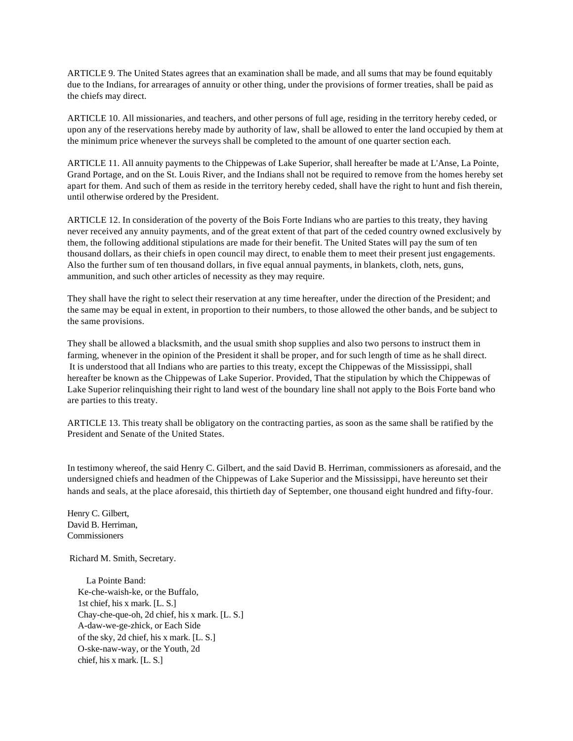ARTICLE 9. The United States agrees that an examination shall be made, and all sums that may be found equitably due to the Indians, for arrearages of annuity or other thing, under the provisions of former treaties, shall be paid as the chiefs may direct.

ARTICLE 10. All missionaries, and teachers, and other persons of full age, residing in the territory hereby ceded, or upon any of the reservations hereby made by authority of law, shall be allowed to enter the land occupied by them at the minimum price whenever the surveys shall be completed to the amount of one quarter section each.

ARTICLE 11. All annuity payments to the Chippewas of Lake Superior, shall hereafter be made at L'Anse, La Pointe, Grand Portage, and on the St. Louis River, and the Indians shall not be required to remove from the homes hereby set apart for them. And such of them as reside in the territory hereby ceded, shall have the right to hunt and fish therein, until otherwise ordered by the President.

ARTICLE 12. In consideration of the poverty of the Bois Forte Indians who are parties to this treaty, they having never received any annuity payments, and of the great extent of that part of the ceded country owned exclusively by them, the following additional stipulations are made for their benefit. The United States will pay the sum of ten thousand dollars, as their chiefs in open council may direct, to enable them to meet their present just engagements. Also the further sum of ten thousand dollars, in five equal annual payments, in blankets, cloth, nets, guns, ammunition, and such other articles of necessity as they may require.

They shall have the right to select their reservation at any time hereafter, under the direction of the President; and the same may be equal in extent, in proportion to their numbers, to those allowed the other bands, and be subject to the same provisions.

They shall be allowed a blacksmith, and the usual smith shop supplies and also two persons to instruct them in farming, whenever in the opinion of the President it shall be proper, and for such length of time as he shall direct. It is understood that all Indians who are parties to this treaty, except the Chippewas of the Mississippi, shall hereafter be known as the Chippewas of Lake Superior. Provided, That the stipulation by which the Chippewas of Lake Superior relinquishing their right to land west of the boundary line shall not apply to the Bois Forte band who are parties to this treaty.

ARTICLE 13. This treaty shall be obligatory on the contracting parties, as soon as the same shall be ratified by the President and Senate of the United States.

In testimony whereof, the said Henry C. Gilbert, and the said David B. Herriman, commissioners as aforesaid, and the undersigned chiefs and headmen of the Chippewas of Lake Superior and the Mississippi, have hereunto set their hands and seals, at the place aforesaid, this thirtieth day of September, one thousand eight hundred and fifty-four.

Henry C. Gilbert, David B. Herriman, Commissioners

Richard M. Smith, Secretary.

 La Pointe Band: Ke-che-waish-ke, or the Buffalo, 1st chief, his x mark. [L. S.] Chay-che-que-oh, 2d chief, his x mark. [L. S.] A-daw-we-ge-zhick, or Each Side of the sky, 2d chief, his x mark. [L. S.] O-ske-naw-way, or the Youth, 2d chief, his x mark. [L. S.]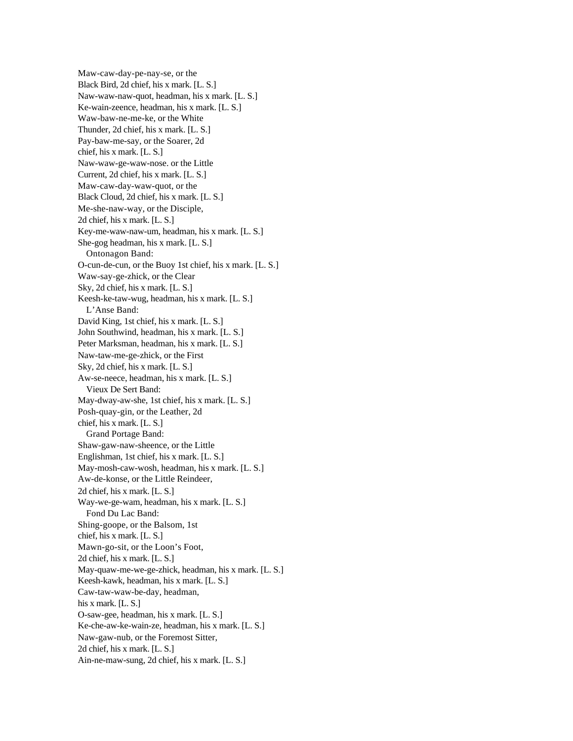Maw-caw-day-pe-nay-se, or the Black Bird, 2d chief, his x mark. [L. S.] Naw-waw-naw-quot, headman, his x mark. [L. S.] Ke-wain-zeence, headman, his x mark. [L. S.] Waw-baw-ne-me-ke, or the White Thunder, 2d chief, his x mark. [L. S.] Pay-baw-me-say, or the Soarer, 2d chief, his x mark. [L. S.] Naw-waw-ge-waw-nose. or the Little Current, 2d chief, his x mark. [L. S.] Maw-caw-day-waw-quot, or the Black Cloud, 2d chief, his x mark. [L. S.] Me-she-naw-way, or the Disciple, 2d chief, his x mark. [L. S.] Key-me-waw-naw-um, headman, his x mark. [L. S.] She-gog headman, his x mark. [L. S.] Ontonagon Band: O-cun-de-cun, or the Buoy 1st chief, his x mark. [L. S.] Waw-say-ge-zhick, or the Clear Sky, 2d chief, his x mark. [L. S.] Keesh-ke-taw-wug, headman, his x mark. [L. S.] L'Anse Band: David King, 1st chief, his x mark. [L. S.] John Southwind, headman, his x mark. [L. S.] Peter Marksman, headman, his x mark. [L. S.] Naw-taw-me-ge-zhick, or the First Sky, 2d chief, his x mark. [L. S.] Aw-se-neece, headman, his x mark. [L. S.] Vieux De Sert Band: May-dway-aw-she, 1st chief, his x mark. [L. S.] Posh-quay-gin, or the Leather, 2d chief, his x mark. [L. S.] Grand Portage Band: Shaw-gaw-naw-sheence, or the Little Englishman, 1st chief, his x mark. [L. S.] May-mosh-caw-wosh, headman, his x mark. [L. S.] Aw-de-konse, or the Little Reindeer, 2d chief, his x mark. [L. S.] Way-we-ge-wam, headman, his x mark. [L. S.] Fond Du Lac Band: Shing-goope, or the Balsom, 1st chief, his x mark. [L. S.] Mawn-go-sit, or the Loon's Foot, 2d chief, his x mark. [L. S.] May-quaw-me-we-ge-zhick, headman, his x mark. [L. S.] Keesh-kawk, headman, his x mark. [L. S.] Caw-taw-waw-be-day, headman, his x mark. [L. S.] O-saw-gee, headman, his x mark. [L. S.] Ke-che-aw-ke-wain-ze, headman, his x mark. [L. S.] Naw-gaw-nub, or the Foremost Sitter, 2d chief, his x mark. [L. S.] Ain-ne-maw-sung, 2d chief, his x mark. [L. S.]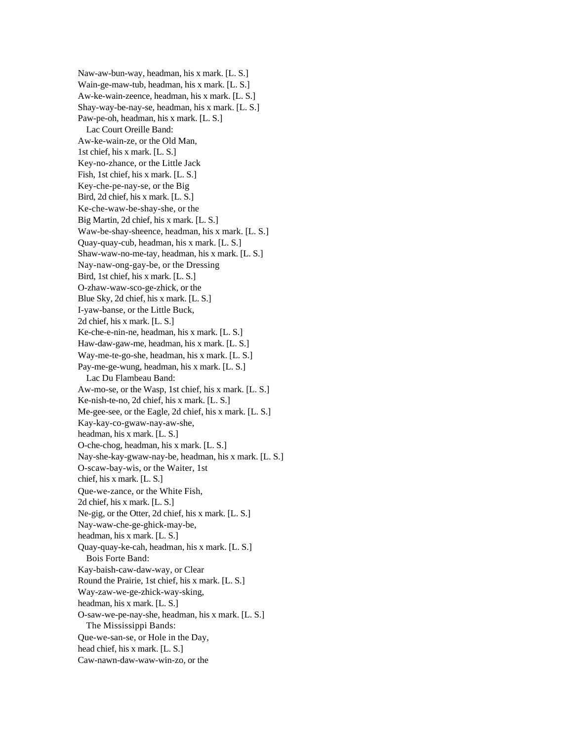Naw-aw-bun-way, headman, his x mark. [L. S.] Wain-ge-maw-tub, headman, his x mark. [L. S.] Aw-ke-wain-zeence, headman, his x mark. [L. S.] Shay-way-be-nay-se, headman, his x mark. [L. S.] Paw-pe-oh, headman, his x mark. [L. S.] Lac Court Oreille Band: Aw-ke-wain-ze, or the Old Man, 1st chief, his x mark. [L. S.] Key-no-zhance, or the Little Jack Fish, 1st chief, his x mark. [L. S.] Key-che-pe-nay-se, or the Big Bird, 2d chief, his x mark. [L. S.] Ke-che-waw-be-shay-she, or the Big Martin, 2d chief, his x mark. [L. S.] Waw-be-shay-sheence, headman, his x mark. [L. S.] Quay-quay-cub, headman, his x mark. [L. S.] Shaw-waw-no-me-tay, headman, his x mark. [L. S.] Nay-naw-ong-gay-be, or the Dressing Bird, 1st chief, his x mark. [L. S.] O-zhaw-waw-sco-ge-zhick, or the Blue Sky, 2d chief, his x mark. [L. S.] I-yaw-banse, or the Little Buck, 2d chief, his x mark. [L. S.] Ke-che-e-nin-ne, headman, his x mark. [L. S.] Haw-daw-gaw-me, headman, his x mark. [L. S.] Way-me-te-go-she, headman, his x mark. [L. S.] Pay-me-ge-wung, headman, his x mark. [L. S.] Lac Du Flambeau Band: Aw-mo-se, or the Wasp, 1st chief, his x mark. [L. S.] Ke-nish-te-no, 2d chief, his x mark. [L. S.] Me-gee-see, or the Eagle, 2d chief, his x mark. [L. S.] Kay-kay-co-gwaw-nay-aw-she, headman, his x mark. [L. S.] O-che-chog, headman, his x mark. [L. S.] Nay-she-kay-gwaw-nay-be, headman, his x mark. [L. S.] O-scaw-bay-wis, or the Waiter, 1st chief, his x mark. [L. S.] Que-we-zance, or the White Fish, 2d chief, his x mark. [L. S.] Ne-gig, or the Otter, 2d chief, his x mark. [L. S.] Nay-waw-che-ge-ghick-may-be, headman, his x mark. [L. S.] Quay-quay-ke-cah, headman, his x mark. [L. S.] Bois Forte Band: Kay-baish-caw-daw-way, or Clear Round the Prairie, 1st chief, his x mark. [L. S.] Way-zaw-we-ge-zhick-way-sking, headman, his x mark. [L. S.] O-saw-we-pe-nay-she, headman, his x mark. [L. S.] The Mississippi Bands: Que-we-san-se, or Hole in the Day, head chief, his x mark. [L. S.] Caw-nawn-daw-waw-win-zo, or the